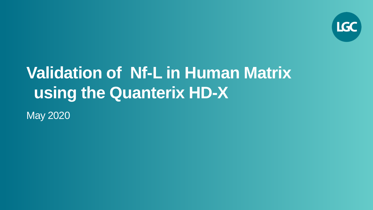

# **Validation of Nf-L in Human Matrix using the Quanterix HD-X**

May 2020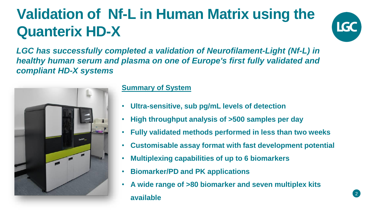## **Validation of Nf-L in Human Matrix using the Quanterix HD-X**



*LGC has successfully completed a validation of Neurofilament-Light (Nf-L) in healthy human serum and plasma on one of Europe's first fully validated and compliant HD-X systems*



#### **Summary of System**

- **Ultra-sensitive, sub pg/mL levels of detection**
- **High throughput analysis of >500 samples per day**
- **Fully validated methods performed in less than two weeks**
- **Customisable assay format with fast development potential**
- **Multiplexing capabilities of up to 6 biomarkers**
- **Biomarker/PD and PK applications**
- **A wide range of >80 biomarker and seven multiplex kits available**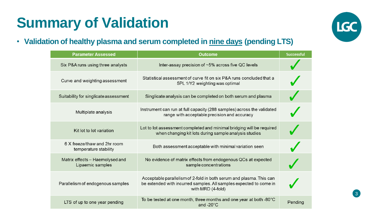## **Summary of Validation**



• **Validation of healthy plasma and serum completed in nine days (pending LTS)**

| <b>Parameter Assessed</b>                             | <b>Outcome</b>                                                                                                                                                 | <b>Successful</b> |
|-------------------------------------------------------|----------------------------------------------------------------------------------------------------------------------------------------------------------------|-------------------|
| Six P&A runs using three analysts                     | Inter-assay precision of ~5% across five QC levels                                                                                                             |                   |
| Curve and weighting assessment                        | Statistical assessment of curve fit on six P&A runs concluded that a<br>5PL 1/Y2 weighting was optimal                                                         |                   |
| Suitability for singlicate assessment                 | Singlicate analysis can be completed on both serum and plasma                                                                                                  |                   |
| Multiplate analysis                                   | Instrument can run at full capacity (288 samples) across the validated<br>range with acceptable precision and accuracy                                         |                   |
| Kit lot to lot variation                              | Lot to lot assessment completed and minimal bridging will be required<br>when changing kit lots during sample analysis studies                                 |                   |
| 6 X freeze/thaw and 2hr room<br>temperature stability | Both assessment acceptable with minimal variation seen                                                                                                         |                   |
| Matrix effects - Haemolysed and<br>Lipaemic samples   | No evidence of matrix effects from endogenous QCs at expected<br>sample concentrations                                                                         |                   |
| Parallelism of endogenous samples                     | Acceptable parallelism of 2-fold in both serum and plasma. This can<br>be extended with incurred samples. All samples expected to come in<br>with MRD (4-fold) |                   |
| LTS of up to one year pending                         | To be tested at one month, three months and one year at both -80°C<br>and $-20^{\circ}$ C                                                                      | Pending           |

 $3<sup>2</sup>$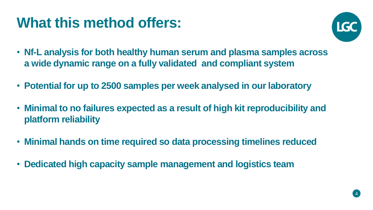#### **What this method offers:**



- **Nf-L analysis for both healthy human serum and plasma samples across a wide dynamic range on a fully validated and compliant system**
- **Potential for up to 2500 samples per week analysed in our laboratory**
- **Minimal to no failures expected as a result of high kit reproducibility and platform reliability**
- **Minimal hands on time required so data processing timelines reduced**
- **Dedicated high capacity sample management and logistics team**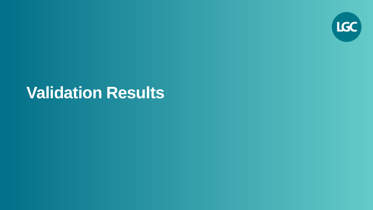

### **Validation Results**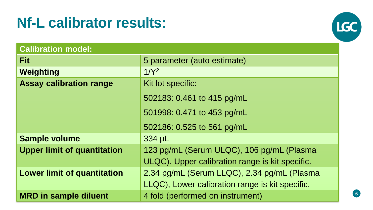#### **Nf-L calibrator results:**



| <b>Calibration model:</b>          |                                                 |
|------------------------------------|-------------------------------------------------|
| <b>Fit</b>                         | 5 parameter (auto estimate)                     |
| Weighting                          | 1/Y <sup>2</sup>                                |
| <b>Assay calibration range</b>     | Kit lot specific:                               |
|                                    | 502183: 0.461 to 415 pg/mL                      |
|                                    | 501998: 0.471 to 453 pg/mL                      |
|                                    | 502186: 0.525 to 561 pg/mL                      |
| <b>Sample volume</b>               | 334 µL                                          |
| <b>Upper limit of quantitation</b> | 123 pg/mL (Serum ULQC), 106 pg/mL (Plasma       |
|                                    | ULQC). Upper calibration range is kit specific. |
| <b>Lower limit of quantitation</b> | 2.34 pg/mL (Serum LLQC), 2.34 pg/mL (Plasma     |
|                                    | LLQC), Lower calibration range is kit specific. |
| <b>MRD</b> in sample diluent       | 4 fold (performed on instrument)                |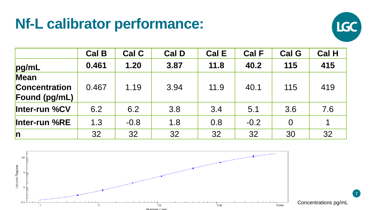#### **Nf-L calibrator performance:**



|                      | <b>Cal B</b> | Cal C  | <b>Cal D</b> | <b>Cal E</b> | <b>Cal F</b> | <b>Cal G</b>   | <b>Cal H</b> |
|----------------------|--------------|--------|--------------|--------------|--------------|----------------|--------------|
| pg/mL                | 0.461        | 1.20   | 3.87         | 11.8         | 40.2         | 115            | 415          |
| Mean                 |              |        |              |              |              |                |              |
| <b>Concentration</b> | 0.467        | 1.19   | 3.94         | 11.9         | 40.1         | 115            | 419          |
| <b>Found (pg/mL)</b> |              |        |              |              |              |                |              |
| Inter-run %CV        | 6.2          | 6.2    | 3.8          | 3.4          | 5.1          | 3.6            | 7.6          |
| Inter-run %RE        | 1.3          | $-0.8$ | 1.8          | 0.8          | $-0.2$       | $\overline{0}$ |              |
| n                    | 32           | 32     | 32           | 32           | 32           | 30             | 32           |

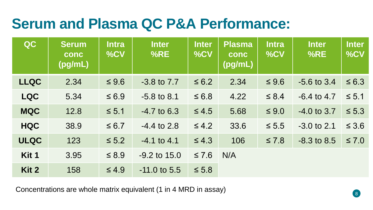#### **Serum and Plasma QC P&A Performance:**

| QC          | <b>Serum</b><br>conc<br>(pg/mL) | <b>Intra</b><br>%CV | <b>Inter</b><br>%RE | <b>Inter</b><br>%CV | <b>Plasma</b><br>conc<br>(pg/mL) | <b>Intra</b><br>%CV | <b>Inter</b><br>%RE | <b>Inter</b><br>%CV |
|-------------|---------------------------------|---------------------|---------------------|---------------------|----------------------------------|---------------------|---------------------|---------------------|
| <b>LLQC</b> | 2.34                            | $\leq 9.6$          | $-3.8$ to $7.7$     | $\leq 6.2$          | 2.34                             | $\leq 9.6$          | $-5.6$ to 3.4       | $\leq 6.3$          |
| <b>LQC</b>  | 5.34                            | $\leq 6.9$          | $-5.8$ to 8.1       | $\leq 6.8$          | 4.22                             | $\leq 8.4$          | $-6.4$ to 4.7       | $\leq 5.1$          |
| <b>MQC</b>  | 12.8                            | $\leq 5.1$          | $-4.7$ to 6.3       | $\leq 4.5$          | 5.68                             | $\leq 9.0$          | $-4.0$ to 3.7       | $\leq 5.3$          |
| <b>HQC</b>  | 38.9                            | $\leq 6.7$          | $-4.4$ to 2.8       | $\leq 4.2$          | 33.6                             | $\leq 5.5$          | $-3.0$ to 2.1       | $\leq 3.6$          |
| <b>ULQC</b> | 123                             | $\leq 5.2$          | $-4.1$ to 4.1       | $\leq 4.3$          | 106                              | $\leq 7.8$          | $-8.3$ to 8.5       | $\leq 7.0$          |
| Kit 1       | 3.95                            | $\leq 8.9$          | $-9.2$ to $15.0$    | $\leq 7.6$          | N/A                              |                     |                     |                     |
| Kit 2       | 158                             | $\leq 4.9$          | $-11.0$ to 5.5      | $\leq 5.8$          |                                  |                     |                     |                     |

Concentrations are whole matrix equivalent (1 in 4 MRD in assay)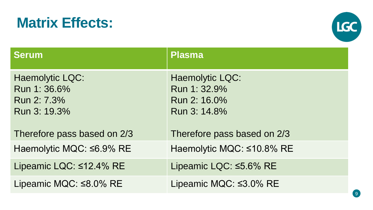#### **Matrix Effects:**



| <b>Serum</b>                                                          | <b>Plasma</b>                                                          |
|-----------------------------------------------------------------------|------------------------------------------------------------------------|
| <b>Haemolytic LQC:</b><br>Run 1: 36.6%<br>Run 2: 7.3%<br>Run 3: 19.3% | <b>Haemolytic LQC:</b><br>Run 1: 32.9%<br>Run 2: 16.0%<br>Run 3: 14.8% |
| Therefore pass based on 2/3                                           | Therefore pass based on 2/3                                            |
| Haemolytic MQC: ≤6.9% RE                                              | Haemolytic MQC: ≤10.8% RE                                              |
| Lipeamic LQC: ≤12.4% RE                                               | Lipeamic LQC: ≤5.6% RE                                                 |
| Lipeamic MQC: $\leq 8.0\%$ RE                                         | Lipeamic MQC: $\leq 3.0\%$ RE                                          |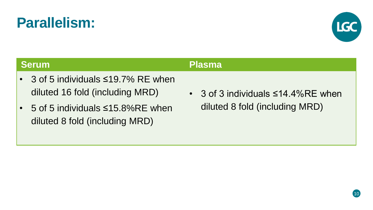#### **Serum Plasma**

- 3 of 5 individuals ≤19.7% RE when diluted 16 fold (including MRD)
- 5 of 5 individuals ≤15.8%RE when diluted 8 fold (including MRD)
- 3 of 3 individuals ≤14.4%RE when diluted 8 fold (including MRD)



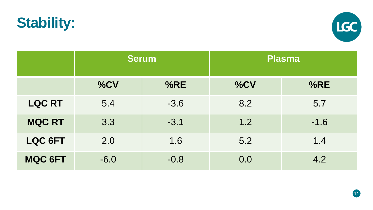



|                | <b>Serum</b> |        | <b>Plasma</b> |        |  |
|----------------|--------------|--------|---------------|--------|--|
|                | %CV          | %RE    | %CV           | %RE    |  |
| <b>LQC RT</b>  | 5.4          | $-3.6$ | 8.2           | 5.7    |  |
| <b>MQC RT</b>  | 3.3          | $-3.1$ | 1.2           | $-1.6$ |  |
| <b>LQC 6FT</b> | 2.0          | 1.6    | 5.2           | 1.4    |  |
| <b>MQC 6FT</b> | $-6.0$       | $-0.8$ | 0.0           | 4.2    |  |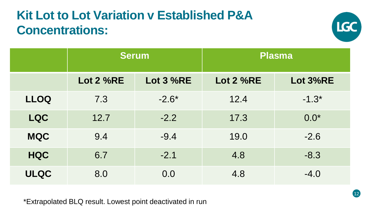#### **Kit Lot to Lot Variation v Established P&A Concentrations:**



|             | <b>Serum</b>     |                  | <b>Plasma</b>    |          |  |
|-------------|------------------|------------------|------------------|----------|--|
|             | <b>Lot 2 %RE</b> | <b>Lot 3 %RE</b> | <b>Lot 2 %RE</b> | Lot 3%RE |  |
| <b>LLOQ</b> | 7.3              | $-2.6*$          | 12.4             | $-1.3*$  |  |
| <b>LQC</b>  | 12.7             | $-2.2$           | 17.3             | $0.0*$   |  |
| <b>MQC</b>  | 9.4              | $-9.4$           | 19.0             | $-2.6$   |  |
| <b>HQC</b>  | 6.7              | $-2.1$           | 4.8              | $-8.3$   |  |
| <b>ULQC</b> | 8.0              | 0.0              | 4.8              | $-4.0$   |  |

\*Extrapolated BLQ result. Lowest point deactivated in run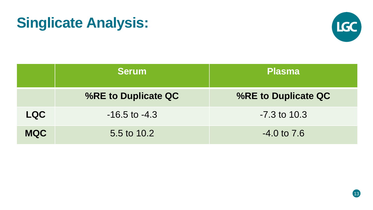#### **Singlicate Analysis:**



|            | <b>Serum</b>        | <b>Plasma</b>       |  |  |
|------------|---------------------|---------------------|--|--|
|            | %RE to Duplicate QC | %RE to Duplicate QC |  |  |
| <b>LQC</b> | $-16.5$ to $-4.3$   | $-7.3$ to 10.3      |  |  |
| <b>MQC</b> | 5.5 to 10.2         | $-4.0$ to $7.6$     |  |  |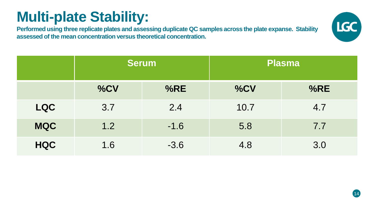### **Multi-plate Stability:**

**Performed using three replicate plates and assessing duplicate QC samples across the plate expanse. Stability assessed of the mean concentration versus theoretical concentration.**



|            | <b>Serum</b> |        | <b>Plasma</b> |     |  |
|------------|--------------|--------|---------------|-----|--|
|            | %CV          | %RE    | %CV           | %RE |  |
| <b>LQC</b> | 3.7          | 2.4    | 10.7          | 4.7 |  |
| <b>MQC</b> | 1.2          | $-1.6$ | 5.8           | 7.7 |  |
| <b>HQC</b> | 1.6          | $-3.6$ | 4.8           | 3.0 |  |